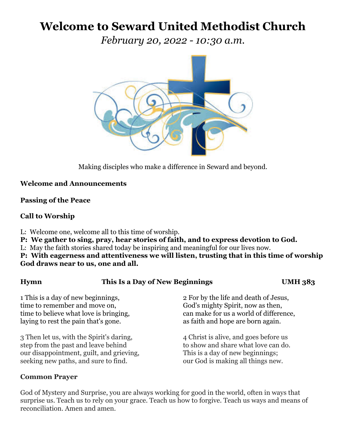# **Welcome to Seward United Methodist Church**

*February 20, 2022 - 10:30 a.m.*



Making disciples who make a difference in Seward and beyond.

# **Welcome and Announcements**

## **Passing of the Peace**

# **Call to Worship**

L: Welcome one, welcome all to this time of worship.

- **P: We gather to sing, pray, hear stories of faith, and to express devotion to God.**
- L: May the faith stories shared today be inspiring and meaningful for our lives now.

**P: With eagerness and attentiveness we will listen, trusting that in this time of worship God draws near to us, one and all.** 

| <b>Hymn</b>                                                                                                                                                         | This Is a Day of New Beginnings |                                                                                                                                                           | <b>UMH 383</b> |
|---------------------------------------------------------------------------------------------------------------------------------------------------------------------|---------------------------------|-----------------------------------------------------------------------------------------------------------------------------------------------------------|----------------|
| 1 This is a day of new beginnings,<br>time to remember and move on,<br>time to believe what love is bringing,<br>laying to rest the pain that's gone.               |                                 | 2 For by the life and death of Jesus,<br>God's mighty Spirit, now as then,<br>can make for us a world of difference,<br>as faith and hope are born again. |                |
| 3 Then let us, with the Spirit's daring,<br>step from the past and leave behind<br>our disappointment, guilt, and grieving,<br>seeking new paths, and sure to find. |                                 | 4 Christ is alive, and goes before us<br>to show and share what love can do.<br>This is a day of new beginnings;<br>our God is making all things new.     |                |

## **Common Prayer**

God of Mystery and Surprise, you are always working for good in the world, often in ways that surprise us. Teach us to rely on your grace. Teach us how to forgive. Teach us ways and means of reconciliation. Amen and amen.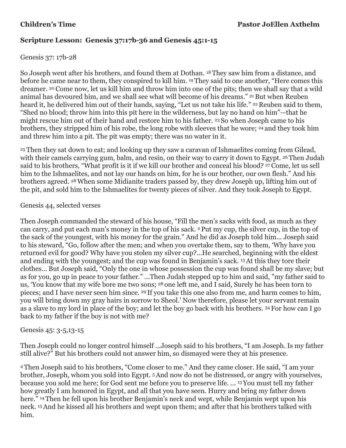# **Scripture Lesson: Genesis 37:17b-36 and Genesis 45:1-15**

# Genesis 37: 17b-28

So Joseph went after his brothers, and found them at Dothan. <sup>18</sup> They saw him from a distance, and before he came near to them, they conspired to kill him. <sup>19</sup> They said to one another, "Here comes this dreamer. <sup>20</sup> Come now, let us kill him and throw him into one of the pits; then we shall say that a wild animal has devoured him, and we shall see what will become of his dreams." 21 But when Reuben heard it, he delivered him out of their hands, saying, "Let us not take his life." <sup>22</sup> Reuben said to them, "Shed no blood; throw him into this pit here in the wilderness, but lay no hand on him"—that he might rescue him out of their hand and restore him to his father. <sup>23</sup> So when Joseph came to his brothers, they stripped him of his robe, the long robe with sleeves that he wore; <sup>24</sup> and they took him and threw him into a pit. The pit was empty; there was no water in it.

<sup>25</sup> Then they sat down to eat; and looking up they saw a caravan of Ishmaelites coming from Gilead, with their camels carrying gum, balm, and resin, on their way to carry it down to Egypt. 26 Then Judah said to his brothers, "What profit is it if we kill our brother and conceal his blood? <sup>27</sup> Come, let us sell him to the Ishmaelites, and not lay our hands on him, for he is our brother, our own flesh." And his brothers agreed. 28When some Midianite traders passed by, they drew Joseph up, lifting him out of the pit, and sold him to the Ishmaelites for twenty pieces of silver. And they took Joseph to Egypt.

## Genesis 44, selected verses

Then Joseph commanded the steward of his house, "Fill the men's sacks with food, as much as they can carry, and put each man's money in the top of his sack. <sup>2</sup> Put my cup, the silver cup, in the top of the sack of the youngest, with his money for the grain." And he did as Joseph told him... Joseph said to his steward, "Go, follow after the men; and when you overtake them, say to them, 'Why have you returned evil for good? Why have you stolen my silver cup?...He searched, beginning with the eldest and ending with the youngest; and the cup was found in Benjamin's sack. 13At this they tore their clothes... But Joseph said, "Only the one in whose possession the cup was found shall be my slave; but as for you, go up in peace to your father." ...Then Judah stepped up to him and said, "my father said to us, 'You know that my wife bore me two sons; <sup>28</sup> one left me, and I said, Surely he has been torn to pieces; and I have never seen him since. <sup>29</sup> If you take this one also from me, and harm comes to him, you will bring down my gray hairs in sorrow to Sheol.' Now therefore, please let your servant remain as a slave to my lord in place of the boy; and let the boy go back with his brothers. <sup>34</sup> For how can I go back to my father if the boy is not with me?

## Genesis 45: 3-5,13-15

Then Joseph could no longer control himself ...Joseph said to his brothers, "I am Joseph. Is my father still alive?" But his brothers could not answer him, so dismayed were they at his presence.

<sup>4</sup> Then Joseph said to his brothers, "Come closer to me." And they came closer. He said, "I am your brother, Joseph, whom you sold into Egypt. 5And now do not be distressed, or angry with yourselves, because you sold me here; for God sent me before you to preserve life. ... <sup>13</sup> You must tell my father how greatly I am honored in Egypt, and all that you have seen. Hurry and bring my father down here." <sup>14</sup> Then he fell upon his brother Benjamin's neck and wept, while Benjamin wept upon his neck. 15And he kissed all his brothers and wept upon them; and after that his brothers talked with him.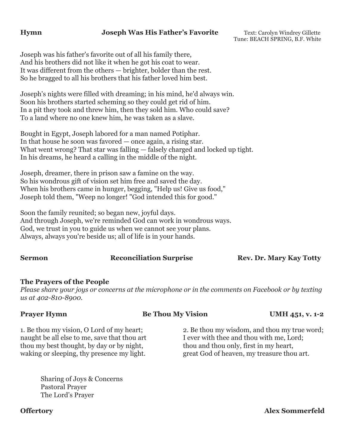### **Hymn Joseph Was His Father's Favorite** Text: Carolyn Windrey Gillette

Tune: BEACH SPRING, B.F. White

Joseph was his father's favorite out of all his family there, And his brothers did not like it when he got his coat to wear. It was different from the others — brighter, bolder than the rest. So he bragged to all his brothers that his father loved him best.

Joseph's nights were filled with dreaming; in his mind, he'd always win. Soon his brothers started scheming so they could get rid of him. In a pit they took and threw him, then they sold him. Who could save? To a land where no one knew him, he was taken as a slave.

Bought in Egypt, Joseph labored for a man named Potiphar. In that house he soon was favored — once again, a rising star. What went wrong? That star was falling — falsely charged and locked up tight. In his dreams, he heard a calling in the middle of the night.

Joseph, dreamer, there in prison saw a famine on the way. So his wondrous gift of vision set him free and saved the day. When his brothers came in hunger, begging, "Help us! Give us food," Joseph told them, "Weep no longer! "God intended this for good."

Soon the family reunited; so began new, joyful days. And through Joseph, we're reminded God can work in wondrous ways. God, we trust in you to guide us when we cannot see your plans. Always, always you're beside us; all of life is in your hands.

**Sermon Reconciliation Surprise Rev. Dr. Mary Kay Totty** 

### **The Prayers of the People**

*Please share your joys or concerns at the microphone or in the comments on Facebook or by texting us at 402-810-8900.*

**Prayer Hymn Be Thou My Vision UMH 451, v. 1-2** 

1. Be thou my vision, O Lord of my heart; 2. Be thou my wisdom, and thou my true word; naught be all else to me, save that thou art I ever with thee and thou with me, Lord; thou my best thought, by day or by night, thou and thou only, first in my heart, waking or sleeping, thy presence my light. great God of heaven, my treasure thou art.

Sharing of Joys & Concerns Pastoral Prayer The Lord's Prayer

**Offertory Alex Sommerfeld**